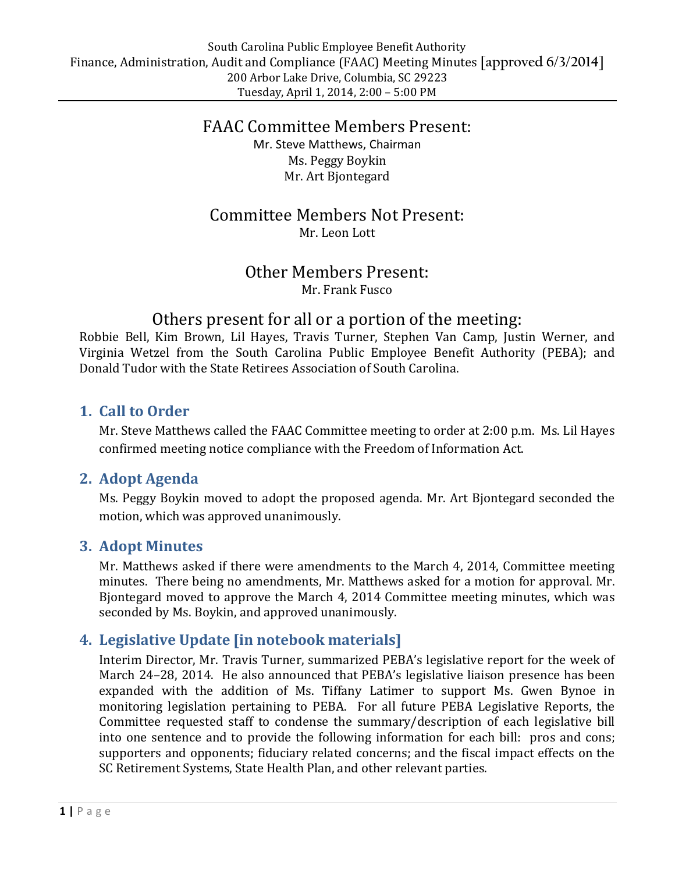## FAAC Committee Members Present: Mr. Steve Matthews, Chairman Ms. Peggy Boykin Mr. Art Bjontegard

## Committee Members Not Present: Mr. Leon Lott

## Other Members Present: Mr. Frank Fusco

# Others present for all or a portion of the meeting:

Robbie Bell, Kim Brown, Lil Hayes, Travis Turner, Stephen Van Camp, Justin Werner, and Virginia Wetzel from the South Carolina Public Employee Benefit Authority (PEBA); and Donald Tudor with the State Retirees Association of South Carolina.

### **1. Call to Order**

Mr. Steve Matthews called the FAAC Committee meeting to order at 2:00 p.m. Ms. Lil Hayes confirmed meeting notice compliance with the Freedom of Information Act.

### **2. Adopt Agenda**

Ms. Peggy Boykin moved to adopt the proposed agenda. Mr. Art Bjontegard seconded the motion, which was approved unanimously.

### **3. Adopt Minutes**

Mr. Matthews asked if there were amendments to the March 4, 2014, Committee meeting minutes. There being no amendments, Mr. Matthews asked for a motion for approval. Mr. Bjontegard moved to approve the March 4, 2014 Committee meeting minutes, which was seconded by Ms. Boykin, and approved unanimously.

## **4. Legislative Update [in notebook materials]**

Interim Director, Mr. Travis Turner, summarized PEBA's legislative report for the week of March 24–28, 2014. He also announced that PEBA's legislative liaison presence has been expanded with the addition of Ms. Tiffany Latimer to support Ms. Gwen Bynoe in monitoring legislation pertaining to PEBA. For all future PEBA Legislative Reports, the Committee requested staff to condense the summary/description of each legislative bill into one sentence and to provide the following information for each bill: pros and cons; supporters and opponents; fiduciary related concerns; and the fiscal impact effects on the SC Retirement Systems, State Health Plan, and other relevant parties.